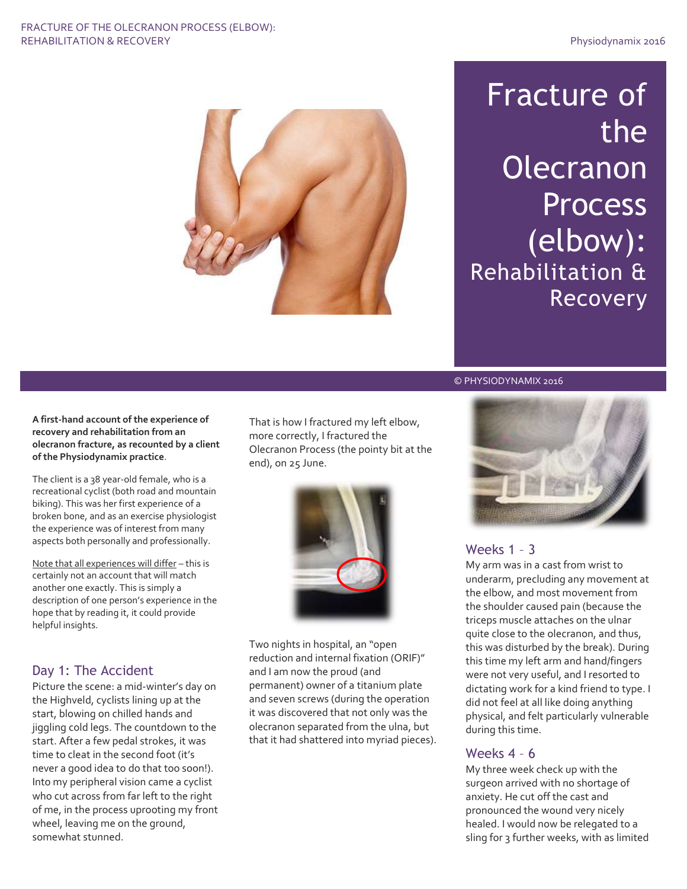#### FRACTURE OF THE OLECRANON PROCESS (ELBOW): REHABILITATION & RECOVERY **Physiodynamix 2016**



# Fracture of the **Olecranon Process** (elbow): Rehabilitation & Recovery

**A first-hand account of the experience of recovery and rehabilitation from an olecranon fracture, as recounted by a client of the Physiodynamix practice**.

The client is a 38 year-old female, who is a recreational cyclist (both road and mountain biking). This was her first experience of a broken bone, and as an exercise physiologist the experience was of interest from many aspects both personally and professionally.

Note that all experiences will differ – this is certainly not an account that will match another one exactly. This is simply a description of one person's experience in the hope that by reading it, it could provide helpful insights.

## Day 1: The Accident

Picture the scene: a mid-winter's day on the Highveld, cyclists lining up at the start, blowing on chilled hands and jiggling cold legs. The countdown to the start. After a few pedal strokes, it was time to cleat in the second foot (it's never a good idea to do that too soon!). Into my peripheral vision came a cyclist who cut across from far left to the right of me, in the process uprooting my front wheel, leaving me on the ground, somewhat stunned.

That is how I fractured my left elbow, more correctly, I fractured the Olecranon Process (the pointy bit at the end), on 25 June.



Two nights in hospital, an "open reduction and internal fixation (ORIF)" and I am now the proud (and permanent) owner of a titanium plate and seven screws (during the operation it was discovered that not only was the olecranon separated from the ulna, but that it had shattered into myriad pieces).



# Weeks 1 – 3

© © PHYSIODYNAMIX 2016

My arm was in a cast from wrist to underarm, precluding any movement at the elbow, and most movement from the shoulder caused pain (because the triceps muscle attaches on the ulnar quite close to the olecranon, and thus, this was disturbed by the break). During this time my left arm and hand/fingers were not very useful, and I resorted to dictating work for a kind friend to type. I did not feel at all like doing anything physical, and felt particularly vulnerable during this time.

## Weeks 4 – 6

My three week check up with the surgeon arrived with no shortage of anxiety. He cut off the cast and pronounced the wound very nicely healed. I would now be relegated to a sling for 3 further weeks, with as limited